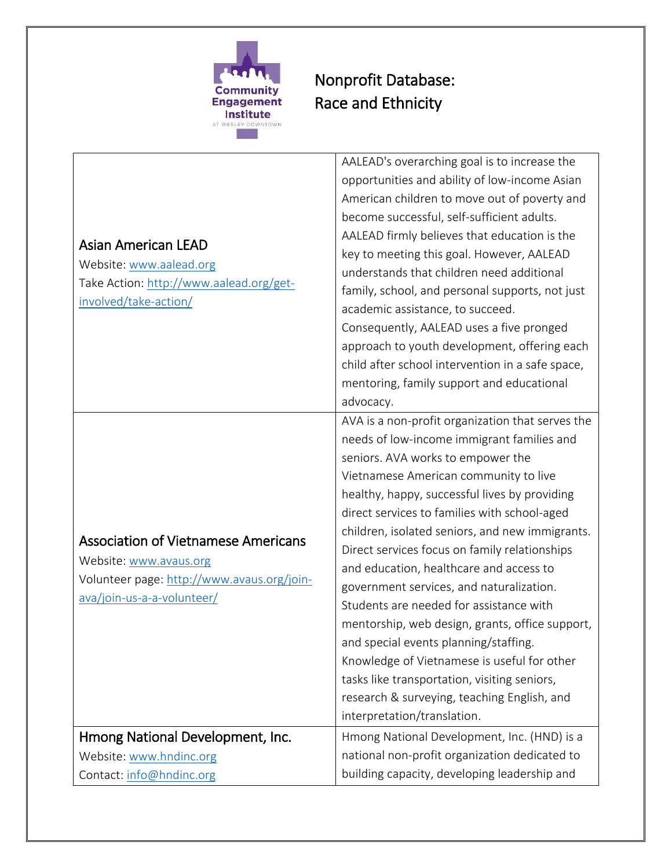

## Nonprofit Database: Race and Ethnicity

| <b>Asian American LEAD</b><br>Website: www.aalead.org<br>Take Action: http://www.aalead.org/get-<br>involved/take-action/                        | AALEAD's overarching goal is to increase the<br>opportunities and ability of low-income Asian<br>American children to move out of poverty and<br>become successful, self-sufficient adults.<br>AALEAD firmly believes that education is the<br>key to meeting this goal. However, AALEAD<br>understands that children need additional<br>family, school, and personal supports, not just<br>academic assistance, to succeed.<br>Consequently, AALEAD uses a five pronged<br>approach to youth development, offering each<br>child after school intervention in a safe space,<br>mentoring, family support and educational<br>advocacy.                                                                                                                                                       |
|--------------------------------------------------------------------------------------------------------------------------------------------------|----------------------------------------------------------------------------------------------------------------------------------------------------------------------------------------------------------------------------------------------------------------------------------------------------------------------------------------------------------------------------------------------------------------------------------------------------------------------------------------------------------------------------------------------------------------------------------------------------------------------------------------------------------------------------------------------------------------------------------------------------------------------------------------------|
| <b>Association of Vietnamese Americans</b><br>Website: www.avaus.org<br>Volunteer page: http://www.avaus.org/join-<br>ava/join-us-a-a-volunteer/ | AVA is a non-profit organization that serves the<br>needs of low-income immigrant families and<br>seniors. AVA works to empower the<br>Vietnamese American community to live<br>healthy, happy, successful lives by providing<br>direct services to families with school-aged<br>children, isolated seniors, and new immigrants.<br>Direct services focus on family relationships<br>and education, healthcare and access to<br>government services, and naturalization.<br>Students are needed for assistance with<br>mentorship, web design, grants, office support,<br>and special events planning/staffing.<br>Knowledge of Vietnamese is useful for other<br>tasks like transportation, visiting seniors,<br>research & surveying, teaching English, and<br>interpretation/translation. |
| Hmong National Development, Inc.                                                                                                                 | Hmong National Development, Inc. (HND) is a                                                                                                                                                                                                                                                                                                                                                                                                                                                                                                                                                                                                                                                                                                                                                  |
| Website: www.hndinc.org                                                                                                                          | national non-profit organization dedicated to                                                                                                                                                                                                                                                                                                                                                                                                                                                                                                                                                                                                                                                                                                                                                |
| Contact: info@hndinc.org                                                                                                                         | building capacity, developing leadership and                                                                                                                                                                                                                                                                                                                                                                                                                                                                                                                                                                                                                                                                                                                                                 |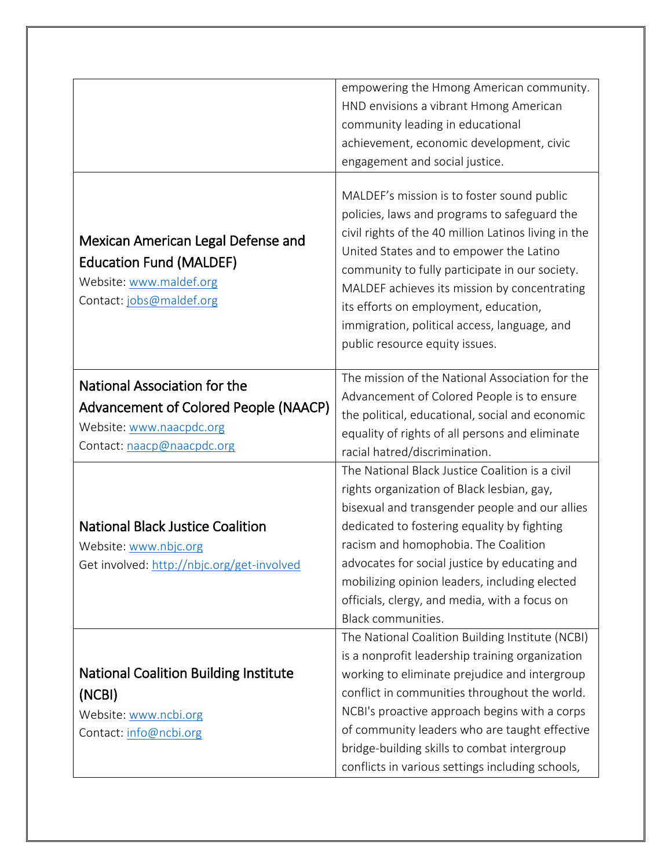|                                                                                                                                 | empowering the Hmong American community.<br>HND envisions a vibrant Hmong American<br>community leading in educational<br>achievement, economic development, civic<br>engagement and social justice.                                                                                                                                                                                                                       |
|---------------------------------------------------------------------------------------------------------------------------------|----------------------------------------------------------------------------------------------------------------------------------------------------------------------------------------------------------------------------------------------------------------------------------------------------------------------------------------------------------------------------------------------------------------------------|
| Mexican American Legal Defense and<br><b>Education Fund (MALDEF)</b><br>Website: www.maldef.org<br>Contact: jobs@maldef.org     | MALDEF's mission is to foster sound public<br>policies, laws and programs to safeguard the<br>civil rights of the 40 million Latinos living in the<br>United States and to empower the Latino<br>community to fully participate in our society.<br>MALDEF achieves its mission by concentrating<br>its efforts on employment, education,<br>immigration, political access, language, and<br>public resource equity issues. |
| National Association for the<br>Advancement of Colored People (NAACP)<br>Website: www.naacpdc.org<br>Contact: naacp@naacpdc.org | The mission of the National Association for the<br>Advancement of Colored People is to ensure<br>the political, educational, social and economic<br>equality of rights of all persons and eliminate<br>racial hatred/discrimination.                                                                                                                                                                                       |
| <b>National Black Justice Coalition</b><br>Website: www.nbjc.org<br>Get involved: http://nbjc.org/get-involved                  | The National Black Justice Coalition is a civil<br>rights organization of Black lesbian, gay,<br>bisexual and transgender people and our allies<br>dedicated to fostering equality by fighting<br>racism and homophobia. The Coalition<br>advocates for social justice by educating and<br>mobilizing opinion leaders, including elected<br>officials, clergy, and media, with a focus on<br>Black communities.            |
| <b>National Coalition Building Institute</b><br>(NCBI)<br>Website: www.ncbi.org<br>Contact: info@ncbi.org                       | The National Coalition Building Institute (NCBI)<br>is a nonprofit leadership training organization<br>working to eliminate prejudice and intergroup<br>conflict in communities throughout the world.<br>NCBI's proactive approach begins with a corps<br>of community leaders who are taught effective<br>bridge-building skills to combat intergroup<br>conflicts in various settings including schools,                 |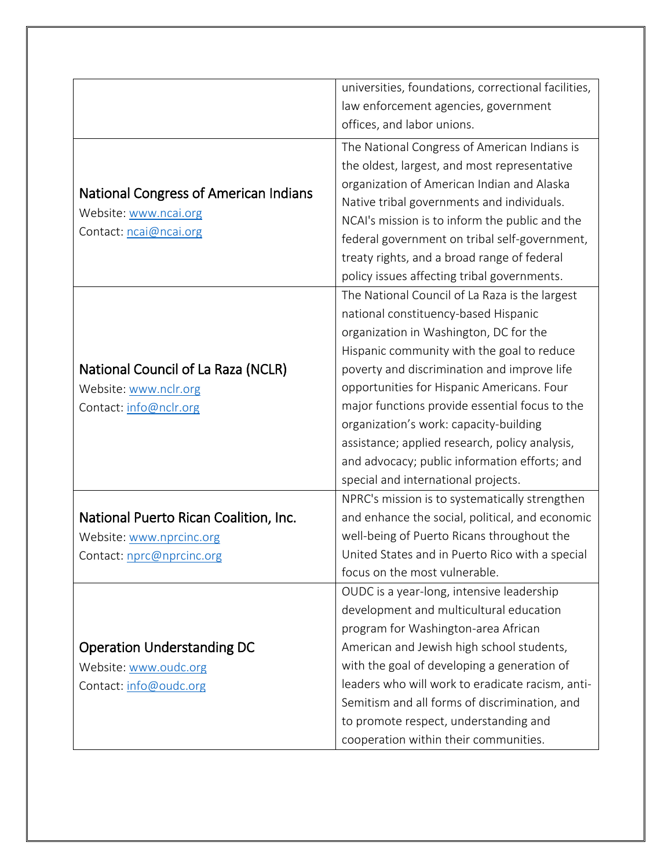|                                                                                          | universities, foundations, correctional facilities, |
|------------------------------------------------------------------------------------------|-----------------------------------------------------|
|                                                                                          | law enforcement agencies, government                |
|                                                                                          | offices, and labor unions.                          |
| National Congress of American Indians<br>Website: www.ncai.org<br>Contact: ncai@ncai.org | The National Congress of American Indians is        |
|                                                                                          | the oldest, largest, and most representative        |
|                                                                                          | organization of American Indian and Alaska          |
|                                                                                          | Native tribal governments and individuals.          |
|                                                                                          | NCAI's mission is to inform the public and the      |
|                                                                                          | federal government on tribal self-government,       |
|                                                                                          | treaty rights, and a broad range of federal         |
|                                                                                          | policy issues affecting tribal governments.         |
|                                                                                          | The National Council of La Raza is the largest      |
|                                                                                          | national constituency-based Hispanic                |
|                                                                                          | organization in Washington, DC for the              |
|                                                                                          | Hispanic community with the goal to reduce          |
| National Council of La Raza (NCLR)                                                       | poverty and discrimination and improve life         |
| Website: www.nclr.org                                                                    | opportunities for Hispanic Americans. Four          |
| Contact: info@nclr.org                                                                   | major functions provide essential focus to the      |
|                                                                                          | organization's work: capacity-building              |
|                                                                                          | assistance; applied research, policy analysis,      |
|                                                                                          | and advocacy; public information efforts; and       |
|                                                                                          | special and international projects.                 |
|                                                                                          | NPRC's mission is to systematically strengthen      |
| National Puerto Rican Coalition, Inc.                                                    | and enhance the social, political, and economic     |
| Website: www.nprcinc.org                                                                 | well-being of Puerto Ricans throughout the          |
| Contact: nprc@nprcinc.org                                                                | United States and in Puerto Rico with a special     |
|                                                                                          | focus on the most vulnerable.                       |
|                                                                                          | OUDC is a year-long, intensive leadership           |
|                                                                                          | development and multicultural education             |
|                                                                                          | program for Washington-area African                 |
| <b>Operation Understanding DC</b>                                                        | American and Jewish high school students,           |
| Website: www.oudc.org                                                                    | with the goal of developing a generation of         |
| Contact: info@oudc.org                                                                   | leaders who will work to eradicate racism, anti-    |
|                                                                                          | Semitism and all forms of discrimination, and       |
|                                                                                          | to promote respect, understanding and               |
|                                                                                          | cooperation within their communities.               |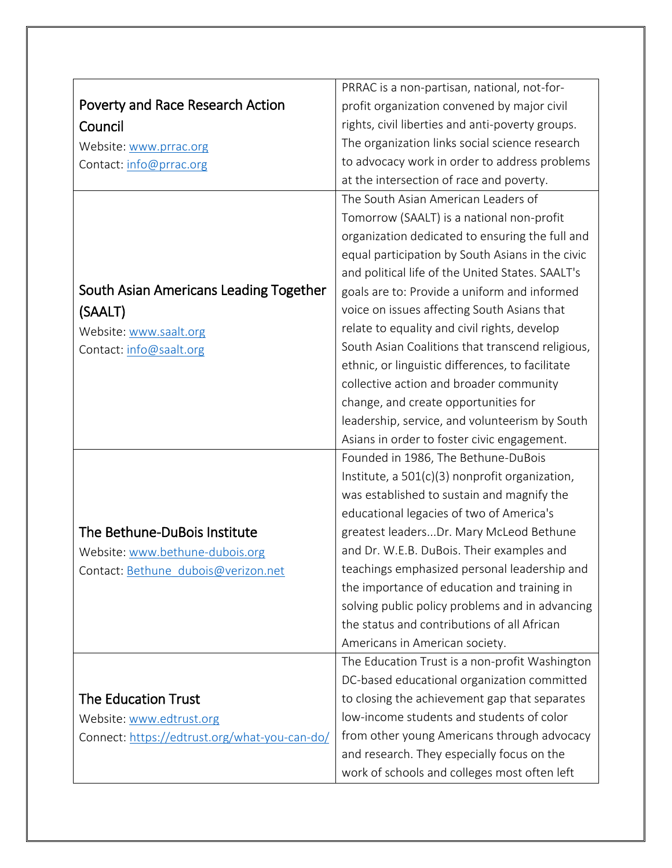|                                               | PRRAC is a non-partisan, national, not-for-      |
|-----------------------------------------------|--------------------------------------------------|
| Poverty and Race Research Action              | profit organization convened by major civil      |
| Council                                       | rights, civil liberties and anti-poverty groups. |
| Website: www.prrac.org                        | The organization links social science research   |
| Contact: info@prrac.org                       | to advocacy work in order to address problems    |
|                                               | at the intersection of race and poverty.         |
|                                               | The South Asian American Leaders of              |
|                                               | Tomorrow (SAALT) is a national non-profit        |
|                                               | organization dedicated to ensuring the full and  |
|                                               | equal participation by South Asians in the civic |
|                                               | and political life of the United States. SAALT's |
| South Asian Americans Leading Together        | goals are to: Provide a uniform and informed     |
| (SAALT)                                       | voice on issues affecting South Asians that      |
| Website: www.saalt.org                        | relate to equality and civil rights, develop     |
| Contact: info@saalt.org                       | South Asian Coalitions that transcend religious, |
|                                               | ethnic, or linguistic differences, to facilitate |
|                                               | collective action and broader community          |
|                                               | change, and create opportunities for             |
|                                               | leadership, service, and volunteerism by South   |
|                                               | Asians in order to foster civic engagement.      |
|                                               | Founded in 1986, The Bethune-DuBois              |
|                                               | Institute, a 501(c)(3) nonprofit organization,   |
|                                               | was established to sustain and magnify the       |
|                                               | educational legacies of two of America's         |
| The Bethune-DuBois Institute                  | greatest leadersDr. Mary McLeod Bethune          |
| Website: www.bethune-dubois.org               | and Dr. W.E.B. DuBois. Their examples and        |
| Contact: Bethune dubois@verizon.net           | teachings emphasized personal leadership and     |
|                                               | the importance of education and training in      |
|                                               | solving public policy problems and in advancing  |
|                                               | the status and contributions of all African      |
|                                               | Americans in American society.                   |
|                                               | The Education Trust is a non-profit Washington   |
|                                               | DC-based educational organization committed      |
| <b>The Education Trust</b>                    | to closing the achievement gap that separates    |
| Website: www.edtrust.org                      | low-income students and students of color        |
| Connect: https://edtrust.org/what-you-can-do/ | from other young Americans through advocacy      |
|                                               | and research. They especially focus on the       |
|                                               | work of schools and colleges most often left     |